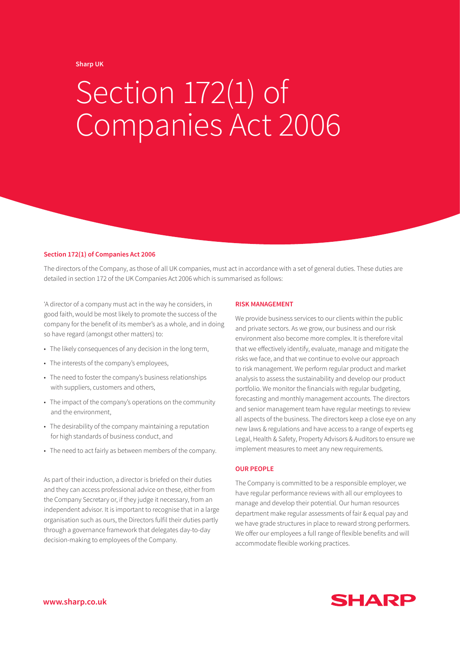## **Sharp UK**

# Section 172(1) of Companies Act 2006

#### **Section 172(1) of Companies Act 2006**

The directors of the Company, as those of all UK companies, must act in accordance with a set of general duties. These duties are detailed in section 172 of the UK Companies Act 2006 which is summarised as follows:

'A director of a company must act in the way he considers, in good faith, would be most likely to promote the success of the company for the benefit of its member's as a whole, and in doing so have regard (amongst other matters) to:

- The likely consequences of any decision in the long term,
- The interests of the company's employees,
- The need to foster the company's business relationships with suppliers, customers and others,
- The impact of the company's operations on the community and the environment,
- The desirability of the company maintaining a reputation for high standards of business conduct, and
- The need to act fairly as between members of the company.

As part of their induction, a director is briefed on their duties and they can access professional advice on these, either from the Company Secretary or, if they judge it necessary, from an independent advisor. It is important to recognise that in a large organisation such as ours, the Directors fulfil their duties partly through a governance framework that delegates day-to-day decision-making to employees of the Company.

## **RISK MANAGEMENT**

We provide business services to our clients within the public and private sectors. As we grow, our business and our risk environment also become more complex. It is therefore vital that we effectively identify, evaluate, manage and mitigate the risks we face, and that we continue to evolve our approach to risk management. We perform regular product and market analysis to assess the sustainability and develop our product portfolio. We monitor the financials with regular budgeting, forecasting and monthly management accounts. The directors and senior management team have regular meetings to review all aspects of the business. The directors keep a close eye on any new laws & regulations and have access to a range of experts eg Legal, Health & Safety, Property Advisors & Auditors to ensure we implement measures to meet any new requirements.

## **OUR PEOPLE**

The Company is committed to be a responsible employer, we have regular performance reviews with all our employees to manage and develop their potential. Our human resources department make regular assessments of fair & equal pay and we have grade structures in place to reward strong performers. We offer our employees a full range of flexible benefits and will accommodate flexible working practices.